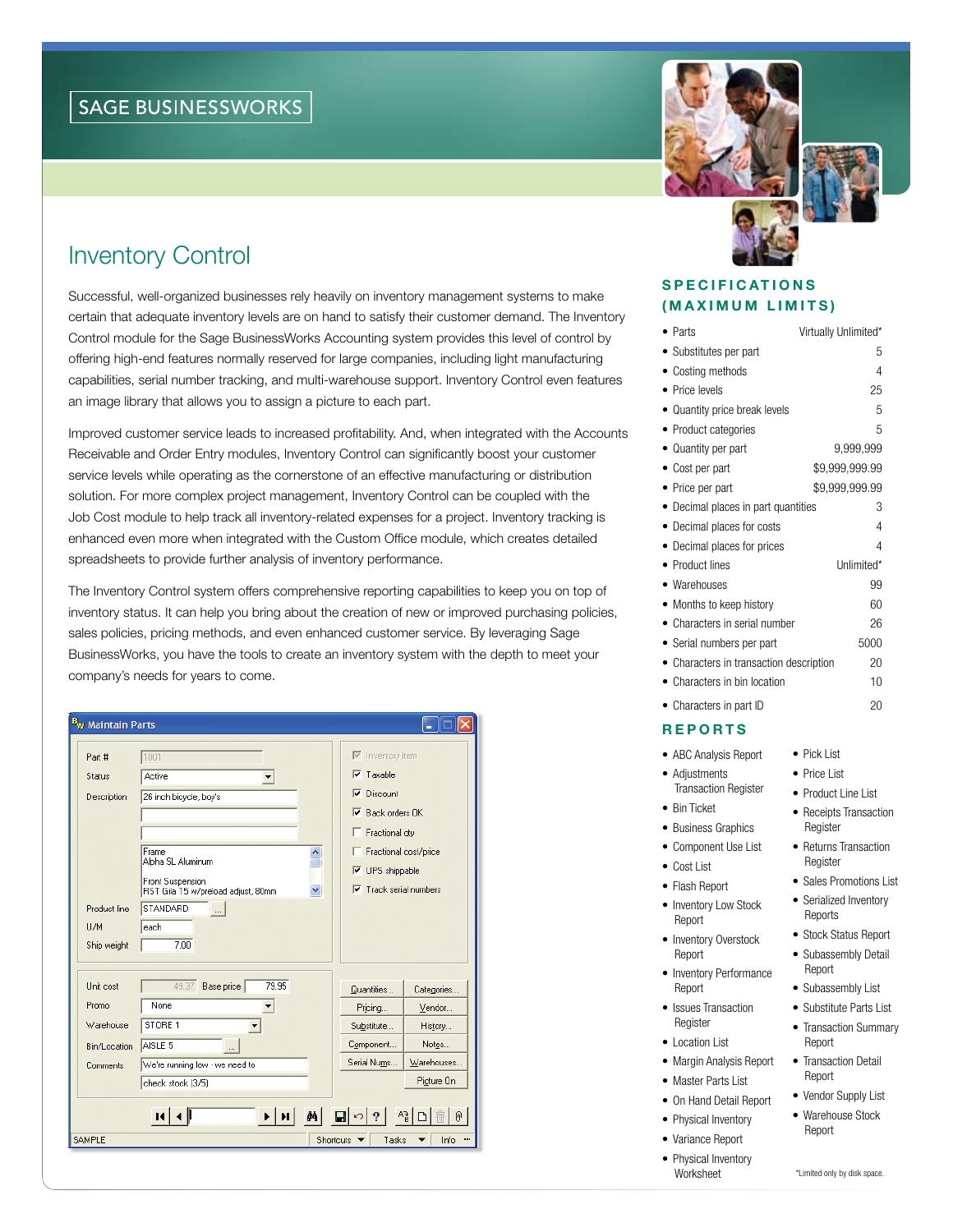# Inventory Control

Successful, well-organized businesses rely heavily on inventory management systems to make certain that adequate inventory levels are on hand to satisfy their customer demand. The Inventory Control module for the Sage BusinessWorks Accounting system provides this level of control by offering high-end features normally reserved for large companies, including light manufacturing capabilities, serial number tracking, and multi-warehouse support. Inventory Control even features an image library that allows you to assign a picture to each part.

Improved customer service leads to increased profitability. And, when integrated with the Accounts Receivable and Order Entry modules, Inventory Control can significantly boost your customer service levels while operating as the cornerstone of an effective manufacturing or distribution solution. For more complex project management, Inventory Control can be coupled with the Job Cost module to help track all inventory-related expenses for a project. Inventory tracking is enhanced even more when integrated with the Custom Office module, which creates detailed spreadsheets to provide further analysis of inventory performance.

The Inventory Control system offers comprehensive reporting capabilities to keep you on top of inventory status. It can help you bring about the creation of new or improved purchasing policies, sales policies, pricing methods, and even enhanced customer service. By leveraging Sage BusinessWorks, you have the tools to create an inventory system with the depth to meet your company's needs for years to come.

| B <sub>W</sub> Maintain Parts     |                                         |                                           |            |  |
|-----------------------------------|-----------------------------------------|-------------------------------------------|------------|--|
| Part #                            | 1001                                    | $\overline{\triangledown}$ Inventory item |            |  |
| Status                            | Active<br>$\blacktriangledown$          | $\overline{\triangledown}$ Taxable        |            |  |
| Description                       | 26 inch bicycle, boy's                  | $\nabla$ Discount                         |            |  |
|                                   |                                         | $\nabla$ Back orders OK                   |            |  |
|                                   |                                         | Fractional gty                            |            |  |
|                                   | Frame<br>Alpha SL Aluminum              | Fractional cost/price                     |            |  |
|                                   | Front Suspension                        | $\overline{\triangledown}$ UPS shippable  |            |  |
|                                   | RST Gila T5 w/preload adjust, 80mm<br>▽ | $\nabla$ Track serial numbers             |            |  |
| Product line                      | STANDARD                                |                                           |            |  |
| U/M                               | each                                    |                                           |            |  |
| Ship weight                       | 7.00                                    |                                           |            |  |
| Unit cost                         | 79.95<br>49.37                          |                                           |            |  |
|                                   | Base price<br>None                      | Quantities                                | Categories |  |
| Promo                             |                                         | Pricing                                   | Vendor     |  |
| Warehouse                         | STORE 1                                 | Substitute                                | History    |  |
| Bin/Location                      | AISLE <sub>5</sub><br>$\cdots$          | Component                                 | Notes      |  |
| Comments                          | We're running low - we need to          | Serial Nums                               | Warehouses |  |
|                                   | check stock (3/5)                       |                                           | Picture On |  |
| O                                 |                                         |                                           |            |  |
| <b>SAMPLE</b>                     |                                         |                                           |            |  |
| <b>Shortcuts</b><br>Tasks<br>Info |                                         |                                           |            |  |



# **SPECIFICATIONS** (MAXIMUM LIMITS)

| $\bullet$ Parts                         | Virtually Unlimited* |  |
|-----------------------------------------|----------------------|--|
| • Substitutes per part                  | 5                    |  |
| • Costing methods                       | 4                    |  |
| Price levels                            | 25                   |  |
| • Quantity price break levels           | 5                    |  |
| • Product categories                    | 5                    |  |
| • Quantity per part                     | 9,999,999            |  |
| • Cost per part                         | \$9,999,999.99       |  |
| • Price per part                        | \$9,999,999.99       |  |
| • Decimal places in part quantities     | 3                    |  |
| Decimal places for costs                | 4                    |  |
| • Decimal places for prices             | 4                    |  |
| • Product lines                         | Unlimited*           |  |
| • Warehouses                            | 99                   |  |
| • Months to keep history                | 60                   |  |
| • Characters in serial number           | 26                   |  |
| • Serial numbers per part               | 5000                 |  |
| • Characters in transaction description | 20                   |  |
| • Characters in bin location            | 10                   |  |
| • Characters in part ID                 | 20                   |  |

# **REPORTS**

- ABC Analysis Report
- Adiustments Transaction Register
- Bin Ticket
- Business Graphics
- Component Use List • Cost List
- • Flash Report
- Inventory Low Stock Report
- Inventory Overstock Report
- Inventory Performance Report
- Issues Transaction Register
- Location List
- • Margin Analysis Report
- Master Parts List
- On Hand Detail Report
- Physical Inventory
- • Variance Report
- Physical Inventory Worksheet
- Pick List
- Price List
- Product Line List • Receipts Transaction
- **Register**
- Returns Transaction Register
- Sales Promotions List
- Serialized Inventory Reports
- Stock Status Report • Subassembly Detail
- Report
- Subassembly List
- Substitute Parts List
- Transaction Summary Report
- Transaction Detail Report
- Vendor Supply List • Warehouse Stock
	- Report